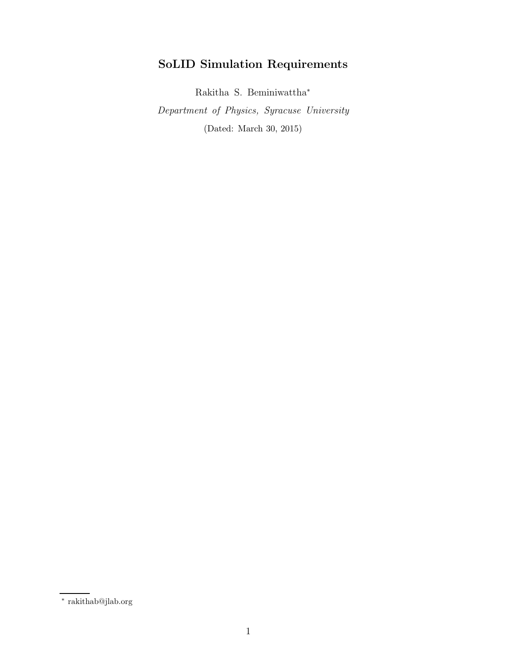# SoLID Simulation Requirements

Rakitha S. Beminiwattha<sup>∗</sup>

Department of Physics, Syracuse University (Dated: March 30, 2015)

<sup>∗</sup> rakithab@jlab.org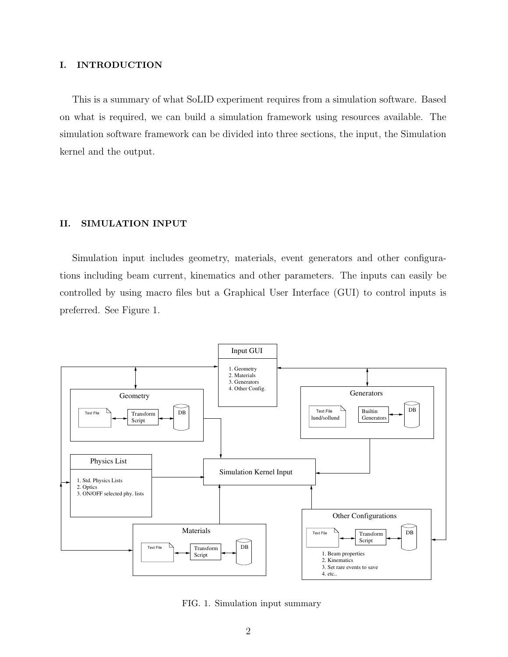### I. INTRODUCTION

This is a summary of what SoLID experiment requires from a simulation software. Based on what is required, we can build a simulation framework using resources available. The simulation software framework can be divided into three sections, the input, the Simulation kernel and the output.

#### II. SIMULATION INPUT

Simulation input includes geometry, materials, event generators and other configurations including beam current, kinematics and other parameters. The inputs can easily be controlled by using macro files but a Graphical User Interface (GUI) to control inputs is preferred. See Figure 1.



FIG. 1. Simulation input summary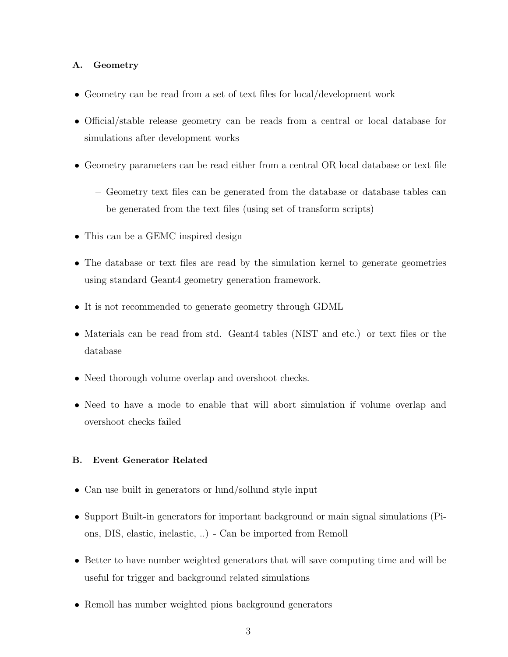## A. Geometry

- Geometry can be read from a set of text files for local/development work
- Official/stable release geometry can be reads from a central or local database for simulations after development works
- Geometry parameters can be read either from a central OR local database or text file
	- Geometry text files can be generated from the database or database tables can be generated from the text files (using set of transform scripts)
- This can be a GEMC inspired design
- The database or text files are read by the simulation kernel to generate geometries using standard Geant4 geometry generation framework.
- It is not recommended to generate geometry through GDML
- Materials can be read from std. Geant4 tables (NIST and etc.) or text files or the database
- Need thorough volume overlap and overshoot checks.
- Need to have a mode to enable that will abort simulation if volume overlap and overshoot checks failed

## B. Event Generator Related

- Can use built in generators or lund/sollund style input
- Support Built-in generators for important background or main signal simulations (Pions, DIS, elastic, inelastic, ..) - Can be imported from Remoll
- Better to have number weighted generators that will save computing time and will be useful for trigger and background related simulations
- Remoll has number weighted pions background generators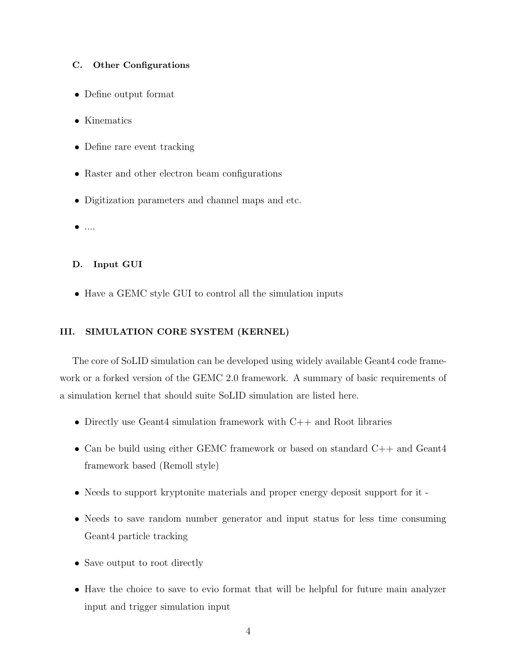#### C. Other Configurations

- Define output format
- Kinematics
- Define rare event tracking
- Raster and other electron beam configurations
- Digitization parameters and channel maps and etc.
- $\bullet$  ....

### D. Input GUI

• Have a GEMC style GUI to control all the simulation inputs

## III. SIMULATION CORE SYSTEM (KERNEL)

The core of SoLID simulation can be developed using widely available Geant4 code framework or a forked version of the GEMC 2.0 framework. A summary of basic requirements of a simulation kernel that should suite SoLID simulation are listed here.

- Directly use Geant4 simulation framework with C++ and Root libraries
- Can be build using either GEMC framework or based on standard C++ and Geant4 framework based (Remoll style)
- Needs to support kryptonite materials and proper energy deposit support for it -
- Needs to save random number generator and input status for less time consuming Geant4 particle tracking
- Save output to root directly
- Have the choice to save to evio format that will be helpful for future main analyzer input and trigger simulation input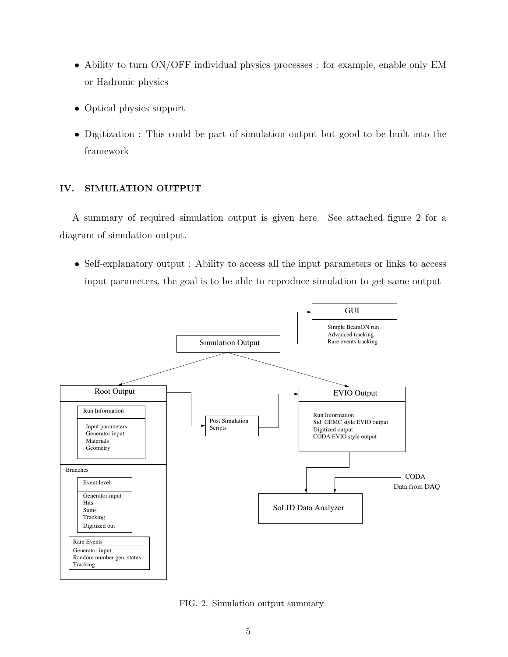- Ability to turn ON/OFF individual physics processes : for example, enable only EM or Hadronic physics
- Optical physics support
- Digitization : This could be part of simulation output but good to be built into the framework

## IV. SIMULATION OUTPUT

A summary of required simulation output is given here. See attached figure 2 for a diagram of simulation output.

• Self-explanatory output : Ability to access all the input parameters or links to access input parameters, the goal is to be able to reproduce simulation to get same output



FIG. 2. Simulation output summary